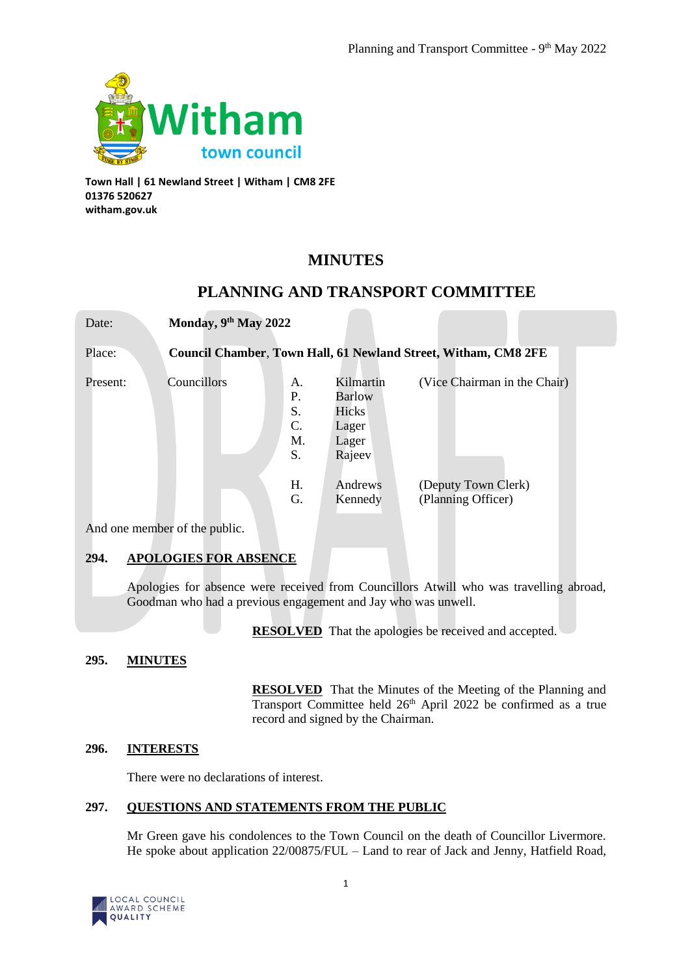

**Town Hall | 61 Newland Street | Witham | CM8 2FE 01376 520627 witham.gov.uk**

Date: **Monday, 9th May 2022**

# **MINUTES**

## **PLANNING AND TRANSPORT COMMITTEE**

Place: **Council Chamber**, **Town Hall, 61 Newland Street, Witham, CM8 2FE**

| Present: | Councillors | A.<br>Ρ.<br>S.<br>$\mathcal{C}$ .<br>M.<br>S. | Kilmartin<br><b>Barlow</b><br>Hicks<br>Lager<br>Lager<br>Rajeev | (Vice Chairman in the Chair)              |
|----------|-------------|-----------------------------------------------|-----------------------------------------------------------------|-------------------------------------------|
|          |             | H.<br>G.                                      | Andrews<br>Kennedy                                              | (Deputy Town Clerk)<br>(Planning Officer) |

And one member of the public.

## **294. APOLOGIES FOR ABSENCE**

Apologies for absence were received from Councillors Atwill who was travelling abroad, Goodman who had a previous engagement and Jay who was unwell.

**RESOLVED** That the apologies be received and accepted.

## **295. MINUTES**

**RESOLVED** That the Minutes of the Meeting of the Planning and Transport Committee held 26<sup>th</sup> April 2022 be confirmed as a true record and signed by the Chairman.

## **296. INTERESTS**

There were no declarations of interest.

## **297. QUESTIONS AND STATEMENTS FROM THE PUBLIC**

Mr Green gave his condolences to the Town Council on the death of Councillor Livermore. He spoke about application 22/00875/FUL – Land to rear of Jack and Jenny, Hatfield Road,

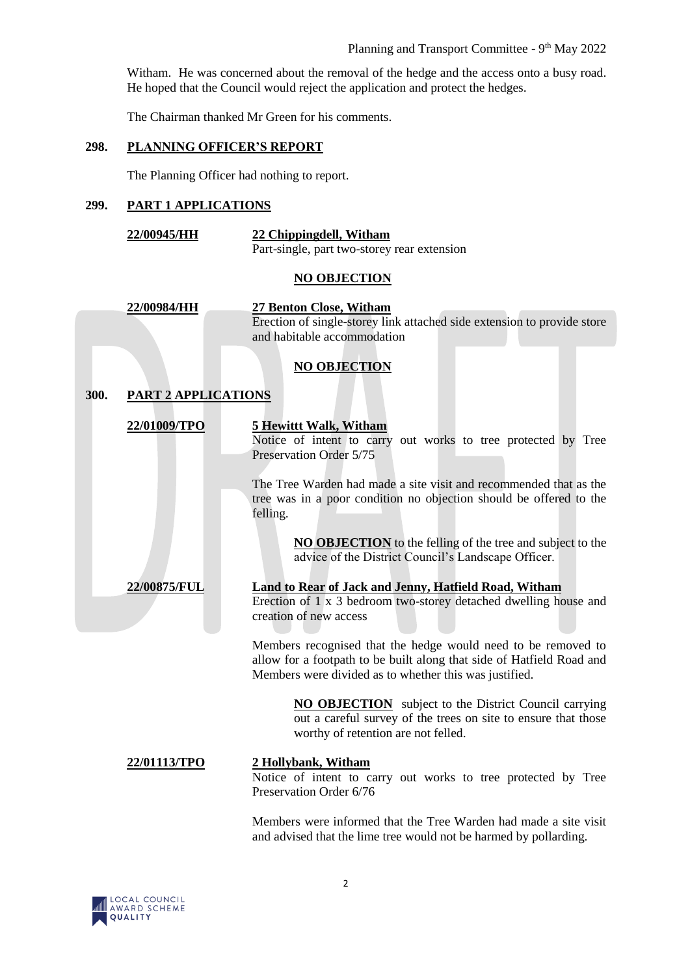Witham. He was concerned about the removal of the hedge and the access onto a busy road. He hoped that the Council would reject the application and protect the hedges.

The Chairman thanked Mr Green for his comments.

## **298. PLANNING OFFICER'S REPORT**

The Planning Officer had nothing to report.

## **299. PART 1 APPLICATIONS**

| <b>22/00945/HH</b> | 22 Chippingdell, Witham                     |  |  |
|--------------------|---------------------------------------------|--|--|
|                    | Part-single, part two-storey rear extension |  |  |

#### **NO OBJECTION**

|      | 22/00984/HH                | 27 Benton Close, Witham                                                                                                                                                                          |
|------|----------------------------|--------------------------------------------------------------------------------------------------------------------------------------------------------------------------------------------------|
|      |                            | Erection of single-storey link attached side extension to provide store<br>and habitable accommodation                                                                                           |
|      |                            | <b>NO OBJECTION</b>                                                                                                                                                                              |
| 300. | <b>PART 2 APPLICATIONS</b> |                                                                                                                                                                                                  |
|      | 22/01009/TPO               | <b>5 Hewittt Walk, Witham</b><br>Notice of intent to carry out works to tree protected by Tree<br>Preservation Order 5/75                                                                        |
|      |                            | The Tree Warden had made a site visit and recommended that as the<br>tree was in a poor condition no objection should be offered to the<br>felling.                                              |
|      |                            | <b>NO OBJECTION</b> to the felling of the tree and subject to the<br>advice of the District Council's Landscape Officer.                                                                         |
|      | 22/00875/FUL               | <b>Land to Rear of Jack and Jenny, Hatfield Road, Witham</b><br>Erection of 1 x 3 bedroom two-storey detached dwelling house and<br>creation of new access                                       |
|      |                            | Members recognised that the hedge would need to be removed to<br>allow for a footpath to be built along that side of Hatfield Road and<br>Members were divided as to whether this was justified. |
|      |                            | <b>NO OBJECTION</b> subject to the District Council carrying<br>out a careful survey of the trees on site to ensure that those<br>worthy of retention are not felled.                            |
|      | 22/01113/TPO               | 2 Hollybank, Witham<br>Notice of intent to carry out works to tree protected by Tree<br>Preservation Order 6/76                                                                                  |
|      |                            | Members were informed that the Tree Warden had made a site visit                                                                                                                                 |